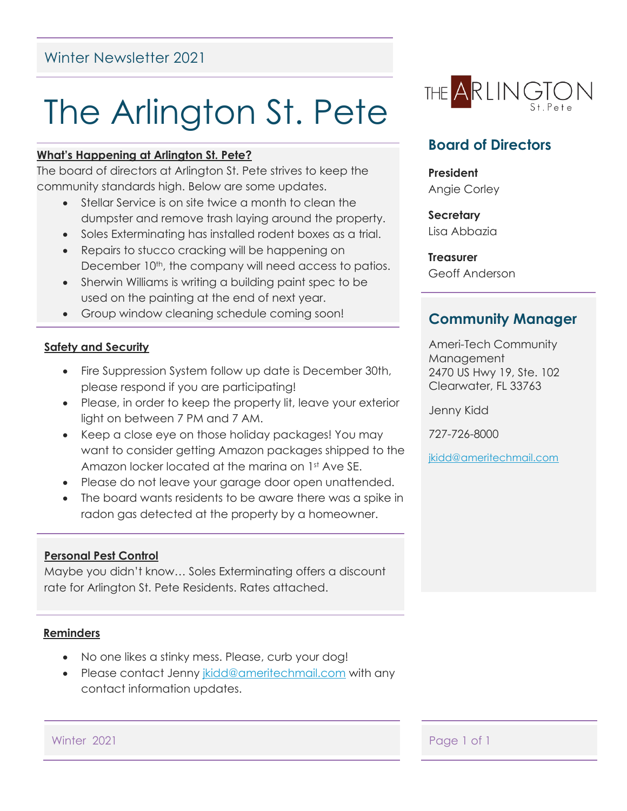## Winter Newsletter 2021

# The Arlington St. Pete

#### **What's Happening at Arlington St. Pete?**

The board of directors at Arlington St. Pete strives to keep the community standards high. Below are some updates.

- Stellar Service is on site twice a month to clean the dumpster and remove trash laying around the property.
- Soles Exterminating has installed rodent boxes as a trial.
- Repairs to stucco cracking will be happening on December 10<sup>th</sup>, the company will need access to patios.
- Sherwin Williams is writing a building paint spec to be used on the painting at the end of next year.
- Group window cleaning schedule coming soon!

#### **Safety and Security**

- Fire Suppression System follow up date is December 30th, please respond if you are participating!
- Please, in order to keep the property lit, leave your exterior light on between 7 PM and 7 AM.
- Keep a close eye on those holiday packages! You may want to consider getting Amazon packages shipped to the Amazon locker located at the marina on 1st Ave SE.
- Please do not leave your garage door open unattended.
- The board wants residents to be aware there was a spike in radon gas detected at the property by a homeowner.

#### **Personal Pest Control**

Maybe you didn't know… Soles Exterminating offers a discount rate for Arlington St. Pete Residents. Rates attached.

#### **Reminders**

- No one likes a stinky mess. Please, curb your dog!
- Please contact Jenny [jkidd@ameritechmail.com](mailto:jkidd@ameritechmail.com) with any contact information updates.



## **Board of Directors**

**President** Angie Corley

**Secretary** Lisa Abbazia

**Treasurer** Geoff Anderson

### **Community Manager**

Ameri-Tech Community Management 2470 US Hwy 19, Ste. 102 Clearwater, FL 33763

Jenny Kidd

727-726-8000

[jkidd@ameritechmail.com](mailto:jkidd@ameritechmail.com)

Winter 2021 **Page 1 of 1**